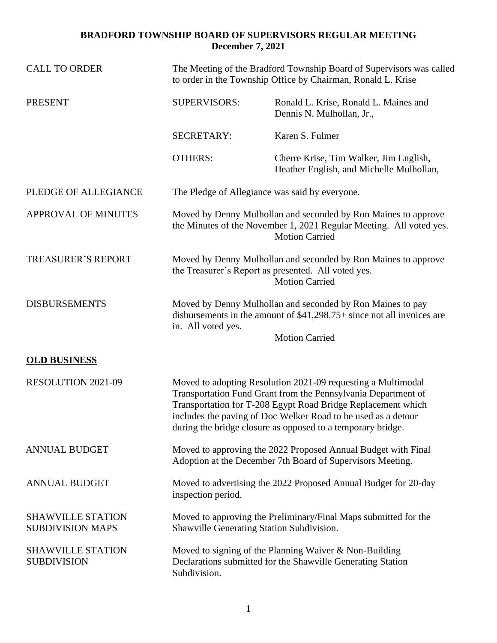## **BRADFORD TOWNSHIP BOARD OF SUPERVISORS REGULAR MEETING December 7, 2021**

| <b>CALL TO ORDER</b>                                | The Meeting of the Bradford Township Board of Supervisors was called<br>to order in the Township Office by Chairman, Ronald L. Krise                                                                                                                                                                                          |                                                                                                                                                                |
|-----------------------------------------------------|-------------------------------------------------------------------------------------------------------------------------------------------------------------------------------------------------------------------------------------------------------------------------------------------------------------------------------|----------------------------------------------------------------------------------------------------------------------------------------------------------------|
| <b>PRESENT</b>                                      | <b>SUPERVISORS:</b>                                                                                                                                                                                                                                                                                                           | Ronald L. Krise, Ronald L. Maines and<br>Dennis N. Mulhollan, Jr.,                                                                                             |
|                                                     | <b>SECRETARY:</b>                                                                                                                                                                                                                                                                                                             | Karen S. Fulmer                                                                                                                                                |
|                                                     | <b>OTHERS:</b>                                                                                                                                                                                                                                                                                                                | Cherre Krise, Tim Walker, Jim English,<br>Heather English, and Michelle Mulhollan,                                                                             |
| PLEDGE OF ALLEGIANCE                                | The Pledge of Allegiance was said by everyone.                                                                                                                                                                                                                                                                                |                                                                                                                                                                |
| <b>APPROVAL OF MINUTES</b>                          | Moved by Denny Mulhollan and seconded by Ron Maines to approve<br>the Minutes of the November 1, 2021 Regular Meeting. All voted yes.<br><b>Motion Carried</b>                                                                                                                                                                |                                                                                                                                                                |
| <b>TREASURER'S REPORT</b>                           | Moved by Denny Mulhollan and seconded by Ron Maines to approve<br>the Treasurer's Report as presented. All voted yes.<br><b>Motion Carried</b>                                                                                                                                                                                |                                                                                                                                                                |
| <b>DISBURSEMENTS</b>                                | in. All voted yes.                                                                                                                                                                                                                                                                                                            | Moved by Denny Mulhollan and seconded by Ron Maines to pay<br>disbursements in the amount of $$41,298.75+$ since not all invoices are<br><b>Motion Carried</b> |
| <b>OLD BUSINESS</b>                                 |                                                                                                                                                                                                                                                                                                                               |                                                                                                                                                                |
| <b>RESOLUTION 2021-09</b>                           | Moved to adopting Resolution 2021-09 requesting a Multimodal<br>Transportation Fund Grant from the Pennsylvania Department of<br>Transportation for T-208 Egypt Road Bridge Replacement which<br>includes the paving of Doc Welker Road to be used as a detour<br>during the bridge closure as opposed to a temporary bridge. |                                                                                                                                                                |
| <b>ANNUAL BUDGET</b>                                | Moved to approving the 2022 Proposed Annual Budget with Final<br>Adoption at the December 7th Board of Supervisors Meeting.                                                                                                                                                                                                   |                                                                                                                                                                |
| <b>ANNUAL BUDGET</b>                                | Moved to advertising the 2022 Proposed Annual Budget for 20-day<br>inspection period.                                                                                                                                                                                                                                         |                                                                                                                                                                |
| <b>SHAWVILLE STATION</b><br><b>SUBDIVISION MAPS</b> | Moved to approving the Preliminary/Final Maps submitted for the<br>Shawville Generating Station Subdivision.                                                                                                                                                                                                                  |                                                                                                                                                                |
| <b>SHAWVILLE STATION</b><br><b>SUBDIVISION</b>      | Moved to signing of the Planning Waiver $& Non-Building$<br>Declarations submitted for the Shawville Generating Station<br>Subdivision.                                                                                                                                                                                       |                                                                                                                                                                |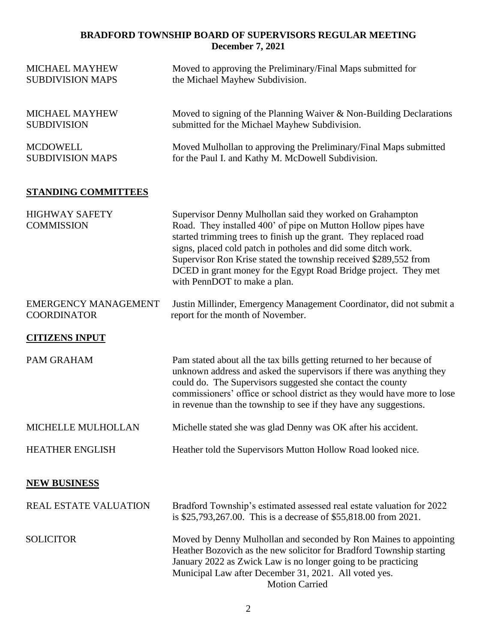## **BRADFORD TOWNSHIP BOARD OF SUPERVISORS REGULAR MEETING December 7, 2021**

| <b>MICHAEL MAYHEW</b><br><b>SUBDIVISION MAPS</b>  | Moved to approving the Preliminary/Final Maps submitted for<br>the Michael Mayhew Subdivision.                                                                                                                                                                                                                                                                                                                                          |  |
|---------------------------------------------------|-----------------------------------------------------------------------------------------------------------------------------------------------------------------------------------------------------------------------------------------------------------------------------------------------------------------------------------------------------------------------------------------------------------------------------------------|--|
| <b>MICHAEL MAYHEW</b><br><b>SUBDIVISION</b>       | Moved to signing of the Planning Waiver & Non-Building Declarations<br>submitted for the Michael Mayhew Subdivision.                                                                                                                                                                                                                                                                                                                    |  |
| <b>MCDOWELL</b><br><b>SUBDIVISION MAPS</b>        | Moved Mulhollan to approving the Preliminary/Final Maps submitted<br>for the Paul I. and Kathy M. McDowell Subdivision.                                                                                                                                                                                                                                                                                                                 |  |
| <b>STANDING COMMITTEES</b>                        |                                                                                                                                                                                                                                                                                                                                                                                                                                         |  |
| <b>HIGHWAY SAFETY</b><br><b>COMMISSION</b>        | Supervisor Denny Mulhollan said they worked on Grahampton<br>Road. They installed 400' of pipe on Mutton Hollow pipes have<br>started trimming trees to finish up the grant. They replaced road<br>signs, placed cold patch in potholes and did some ditch work.<br>Supervisor Ron Krise stated the township received \$289,552 from<br>DCED in grant money for the Egypt Road Bridge project. They met<br>with PennDOT to make a plan. |  |
| <b>EMERGENCY MANAGEMENT</b><br><b>COORDINATOR</b> | Justin Millinder, Emergency Management Coordinator, did not submit a<br>report for the month of November.                                                                                                                                                                                                                                                                                                                               |  |
| <b>CITIZENS INPUT</b>                             |                                                                                                                                                                                                                                                                                                                                                                                                                                         |  |
| <b>PAM GRAHAM</b>                                 | Pam stated about all the tax bills getting returned to her because of<br>unknown address and asked the supervisors if there was anything they<br>could do. The Supervisors suggested she contact the county<br>commissioners' office or school district as they would have more to lose<br>in revenue than the township to see if they have any suggestions.                                                                            |  |
| MICHELLE MULHOLLAN                                | Michelle stated she was glad Denny was OK after his accident.                                                                                                                                                                                                                                                                                                                                                                           |  |
| <b>HEATHER ENGLISH</b>                            | Heather told the Supervisors Mutton Hollow Road looked nice.                                                                                                                                                                                                                                                                                                                                                                            |  |
| <b>NEW BUSINESS</b>                               |                                                                                                                                                                                                                                                                                                                                                                                                                                         |  |
| <b>REAL ESTATE VALUATION</b>                      | Bradford Township's estimated assessed real estate valuation for 2022<br>is \$25,793,267.00. This is a decrease of \$55,818.00 from 2021.                                                                                                                                                                                                                                                                                               |  |
| <b>SOLICITOR</b>                                  | Moved by Denny Mulhollan and seconded by Ron Maines to appointing<br>Heather Bozovich as the new solicitor for Bradford Township starting<br>January 2022 as Zwick Law is no longer going to be practicing<br>Municipal Law after December 31, 2021. All voted yes.<br><b>Motion Carried</b>                                                                                                                                            |  |